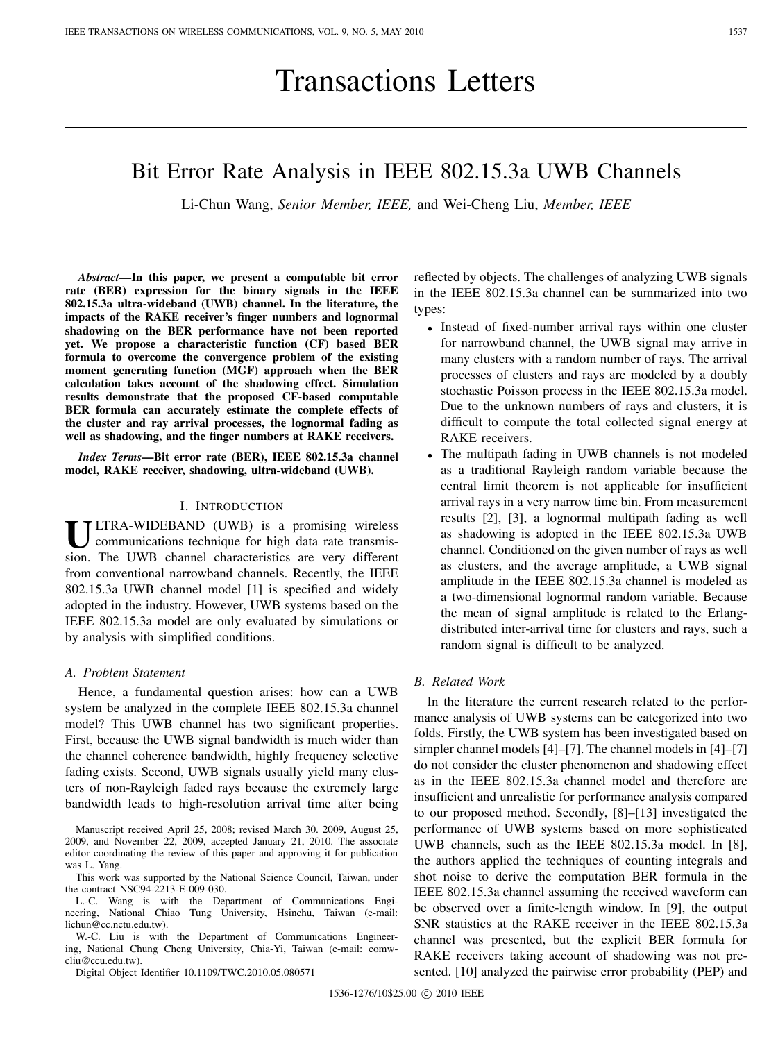# Transactions Letters

# Bit Error Rate Analysis in IEEE 802.15.3a UWB Channels

Li-Chun Wang, *Senior Member, IEEE,* and Wei-Cheng Liu, *Member, IEEE*

*Abstract***—In this paper, we present a computable bit error rate (BER) expression for the binary signals in the IEEE 802.15.3a ultra-wideband (UWB) channel. In the literature, the impacts of the RAKE receiver's finger numbers and lognormal shadowing on the BER performance have not been reported yet. We propose a characteristic function (CF) based BER formula to overcome the convergence problem of the existing moment generating function (MGF) approach when the BER calculation takes account of the shadowing effect. Simulation results demonstrate that the proposed CF-based computable BER formula can accurately estimate the complete effects of the cluster and ray arrival processes, the lognormal fading as well as shadowing, and the finger numbers at RAKE receivers.**

*Index Terms***—Bit error rate (BER), IEEE 802.15.3a channel model, RAKE receiver, shadowing, ultra-wideband (UWB).**

## I. INTRODUCTION

**U**LTRA-WIDEBAND (UWB) is a promising wireless communications technique for high data rate transmission. The UWB channel characteristics are very different from conventional narrowband channels. Recently, the IEEE 802.15.3a UWB channel model [1] is specified and widely adopted in the industry. However, UWB systems based on the IEEE 802.15.3a model are only evaluated by simulations or by analysis with simplified conditions.

# *A. Problem Statement*

Hence, a fundamental question arises: how can a UWB system be analyzed in the complete IEEE 802.15.3a channel model? This UWB channel has two significant properties. First, because the UWB signal bandwidth is much wider than the channel coherence bandwidth, highly frequency selective fading exists. Second, UWB signals usually yield many clusters of non-Rayleigh faded rays because the extremely large bandwidth leads to high-resolution arrival time after being

Manuscript received April 25, 2008; revised March 30. 2009, August 25, 2009, and November 22, 2009, accepted January 21, 2010. The associate editor coordinating the review of this paper and approving it for publication was L. Yang.

This work was supported by the National Science Council, Taiwan, under the contract NSC94-2213-E-009-030.

L.-C. Wang is with the Department of Communications Engineering, National Chiao Tung University, Hsinchu, Taiwan (e-mail: lichun@cc.nctu.edu.tw).

W.-C. Liu is with the Department of Communications Engineering, National Chung Cheng University, Chia-Yi, Taiwan (e-mail: comwcliu@ccu.edu.tw).

Digital Object Identifier 10.1109/TWC.2010.05.080571

reflected by objects. The challenges of analyzing UWB signals in the IEEE 802.15.3a channel can be summarized into two types:

- <sup>∙</sup> Instead of fixed-number arrival rays within one cluster for narrowband channel, the UWB signal may arrive in many clusters with a random number of rays. The arrival processes of clusters and rays are modeled by a doubly stochastic Poisson process in the IEEE 802.15.3a model. Due to the unknown numbers of rays and clusters, it is difficult to compute the total collected signal energy at RAKE receivers.
- <sup>∙</sup> The multipath fading in UWB channels is not modeled as a traditional Rayleigh random variable because the central limit theorem is not applicable for insufficient arrival rays in a very narrow time bin. From measurement results [2], [3], a lognormal multipath fading as well as shadowing is adopted in the IEEE 802.15.3a UWB channel. Conditioned on the given number of rays as well as clusters, and the average amplitude, a UWB signal amplitude in the IEEE 802.15.3a channel is modeled as a two-dimensional lognormal random variable. Because the mean of signal amplitude is related to the Erlangdistributed inter-arrival time for clusters and rays, such a random signal is difficult to be analyzed.

# *B. Related Work*

In the literature the current research related to the performance analysis of UWB systems can be categorized into two folds. Firstly, the UWB system has been investigated based on simpler channel models [4]–[7]. The channel models in [4]–[7] do not consider the cluster phenomenon and shadowing effect as in the IEEE 802.15.3a channel model and therefore are insufficient and unrealistic for performance analysis compared to our proposed method. Secondly, [8]–[13] investigated the performance of UWB systems based on more sophisticated UWB channels, such as the IEEE 802.15.3a model. In [8], the authors applied the techniques of counting integrals and shot noise to derive the computation BER formula in the IEEE 802.15.3a channel assuming the received waveform can be observed over a finite-length window. In [9], the output SNR statistics at the RAKE receiver in the IEEE 802.15.3a channel was presented, but the explicit BER formula for RAKE receivers taking account of shadowing was not presented. [10] analyzed the pairwise error probability (PEP) and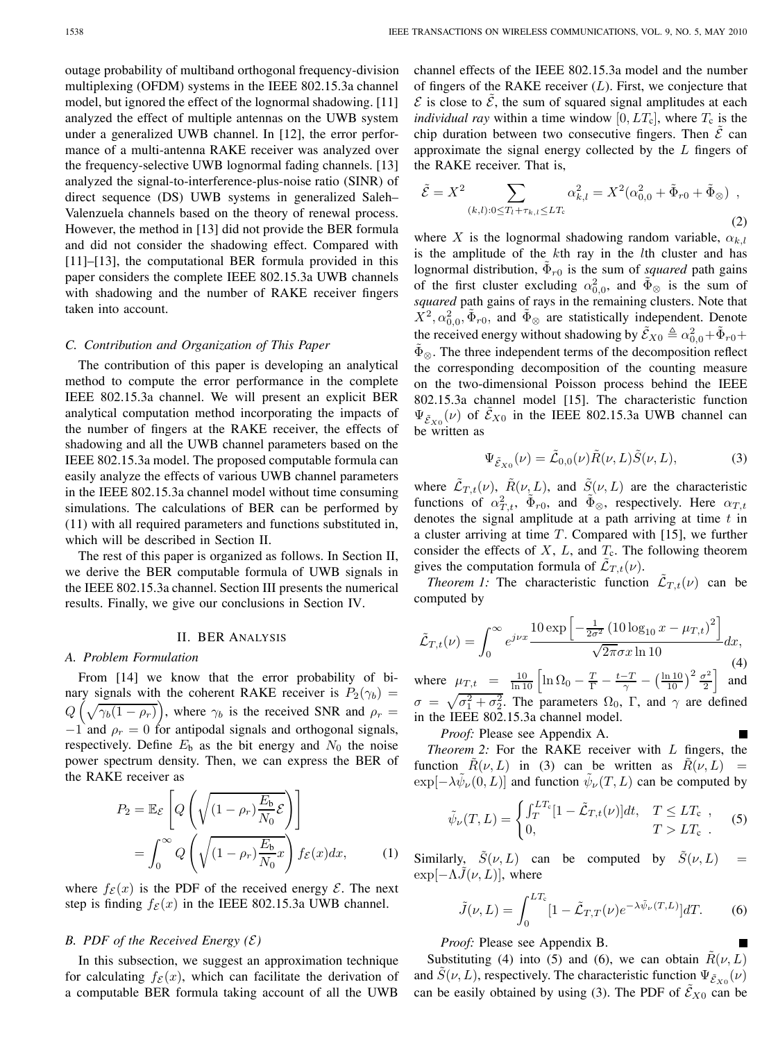outage probability of multiband orthogonal frequency-division multiplexing (OFDM) systems in the IEEE 802.15.3a channel model, but ignored the effect of the lognormal shadowing. [11] analyzed the effect of multiple antennas on the UWB system under a generalized UWB channel. In [12], the error performance of a multi-antenna RAKE receiver was analyzed over the frequency-selective UWB lognormal fading channels. [13] analyzed the signal-to-interference-plus-noise ratio (SINR) of direct sequence (DS) UWB systems in generalized Saleh– Valenzuela channels based on the theory of renewal process. However, the method in [13] did not provide the BER formula and did not consider the shadowing effect. Compared with [11]–[13], the computational BER formula provided in this paper considers the complete IEEE 802.15.3a UWB channels with shadowing and the number of RAKE receiver fingers taken into account.

#### *C. Contribution and Organization of This Paper*

The contribution of this paper is developing an analytical method to compute the error performance in the complete IEEE 802.15.3a channel. We will present an explicit BER analytical computation method incorporating the impacts of the number of fingers at the RAKE receiver, the effects of shadowing and all the UWB channel parameters based on the IEEE 802.15.3a model. The proposed computable formula can easily analyze the effects of various UWB channel parameters in the IEEE 802.15.3a channel model without time consuming simulations. The calculations of BER can be performed by (11) with all required parameters and functions substituted in, which will be described in Section II.

The rest of this paper is organized as follows. In Section II, we derive the BER computable formula of UWB signals in the IEEE 802.15.3a channel. Section III presents the numerical results. Finally, we give our conclusions in Section IV.

### II. BER ANALYSIS

#### *A. Problem Formulation*

From [14] we know that the error probability of binary signals with the coherent RAKE receiver is  $P_2(\gamma_b)$  =  $Q\left(\sqrt{\gamma_b(1-\rho_r)}\right)$ , where  $\gamma_b$  is the received SNR and  $\rho_r =$  $-1$  and  $\rho_r = 0$  for antipodal signals and orthogonal signals, respectively. Define  $E_b$  as the bit energy and  $N_0$  the noise power spectrum density. Then, we can express the BER of the RAKE receiver as

$$
P_2 = \mathbb{E}_{\mathcal{E}} \left[ Q \left( \sqrt{(1 - \rho_r) \frac{E_b}{N_0} \mathcal{E}} \right) \right]
$$
  
= 
$$
\int_0^\infty Q \left( \sqrt{(1 - \rho_r) \frac{E_b}{N_0} x} \right) f_{\mathcal{E}}(x) dx,
$$
 (1)

where  $f_{\mathcal{E}}(x)$  is the PDF of the received energy  $\mathcal{E}$ . The next step is finding  $f_{\mathcal{E}}(x)$  in the IEEE 802.15.3a UWB channel.

# *B. PDF of the Received Energy*  $(\mathcal{E})$

In this subsection, we suggest an approximation technique for calculating  $f_{\mathcal{E}}(x)$ , which can facilitate the derivation of a computable BER formula taking account of all the UWB

channel effects of the IEEE 802.15.3a model and the number of fingers of the RAKE receiver  $(L)$ . First, we conjecture that  $\mathcal E$  is close to  $\tilde{\mathcal E}$ , the sum of squared signal amplitudes at each *individual ray* within a time window  $[0, LT_c]$ , where  $T_c$  is the chip duration between two consecutive fingers. Then  $\mathcal E$  can approximate the signal energy collected by the  $L$  fingers of the RAKE receiver. That is,

$$
\tilde{\mathcal{E}} = X^2 \sum_{(k,l): 0 \le T_l + \tau_{k,l} \le LT_{\mathfrak{c}}} \alpha_{k,l}^2 = X^2(\alpha_{0,0}^2 + \tilde{\Phi}_{r0} + \tilde{\Phi}_{\otimes}),
$$
\n(2)

where X is the lognormal shadowing random variable,  $\alpha_{k,l}$ is the amplitude of the  $k$ th ray in the  $l$ th cluster and has lognormal distribution,  $\Phi_{r0}$  is the sum of *squared* path gains of the first cluster excluding  $\alpha_{0,0}^2$ , and  $\tilde{\Phi}_{\otimes}$  is the sum of *squared* path gains of rays in the remaining clusters. Note that  $\hat{X}^2, \alpha_{0,0}^2, \tilde{\Phi}_{r0}$ , and  $\tilde{\Phi}_{\otimes}$  are statistically independent. Denote the received energy without shadowing by  $\tilde{\mathcal{E}}_{X0} \triangleq \alpha_{0,0}^2 + \tilde{\Phi}_{r0} + \tilde{\Phi}_{\tilde{r}}$  $\Phi_{\otimes}$ . The three independent terms of the decomposition reflect the corresponding decomposition of the counting measure on the two-dimensional Poisson process behind the IEEE 802.15.3a channel model [15]. The characteristic function  $\Psi_{\tilde{\mathcal{E}}_{X0}}(\nu)$  of  $\tilde{\mathcal{E}}_{X0}$  in the IEEE 802.15.3a UWB channel can be written as

$$
\Psi_{\tilde{\mathcal{E}}_{X0}}(\nu) = \tilde{\mathcal{L}}_{0,0}(\nu)\tilde{R}(\nu, L)\tilde{S}(\nu, L),\tag{3}
$$

where  $\tilde{\mathcal{L}}_{T,t}(\nu)$ ,  $\tilde{R}(\nu, L)$ , and  $\tilde{S}(\nu, L)$  are the characteristic functions of  $\alpha_{T,t}^2$ ,  $\tilde{\Phi}_{r0}$ , and  $\tilde{\Phi}_{\otimes}$ , respectively. Here  $\alpha_{T,t}$ denotes the signal amplitude at a path arriving at time  $t$  in a cluster arriving at time  $T$ . Compared with [15], we further consider the effects of  $X$ ,  $L$ , and  $T_c$ . The following theorem gives the computation formula of  $\mathcal{L}_{T,t}(\nu)$ .

*Theorem 1:* The characteristic function  $\mathcal{L}_{T,t}(\nu)$  can be computed by

$$
\tilde{\mathcal{L}}_{T,t}(\nu) = \int_0^\infty e^{j\nu x} \frac{10 \exp\left[-\frac{1}{2\sigma^2} \left(10 \log_{10} x - \mu_{T,t}\right)^2\right]}{\sqrt{2\pi}\sigma x \ln 10} dx, \tag{4}
$$

where  $\mu_{T,t} = \frac{10}{\ln 10} \left[ \ln \Omega_0 - \frac{T}{\Gamma} - \frac{t - T}{\gamma} - \left( \frac{\ln 10}{10} \right)^2 \frac{\sigma^2}{2} \right]$  and  $\sigma = \sqrt{\sigma_1^2 + \sigma_2^2}$ . The parameters  $\Omega_0$ ,  $\Gamma$ , and  $\gamma$  are defined in the IEEE 802.15.3a channel model. П

*Proof:* Please see Appendix A.

*Theorem 2:* For the RAKE receiver with  $L$  fingers, the function  $\hat{R}(\nu, L)$  in (3) can be written as  $\hat{R}(\nu, L)$  =  $\exp[-\lambda \psi_{\nu}(0,L)]$  and function  $\psi_{\nu}(T,L)$  can be computed by

$$
\tilde{\psi}_{\nu}(T,L) = \begin{cases}\n\int_{T}^{LT_{\rm c}} [1 - \tilde{\mathcal{L}}_{T,t}(\nu)] dt, & T \leq LT_{\rm c}, \\
0, & T > LT_{\rm c}.\n\end{cases}
$$
\n(5)

Similarly,  $\tilde{S}(\nu, L)$  can be computed by  $\tilde{S}(\nu, L)$  $\exp[-\Lambda \tilde{J}(\nu, L)]$ , where

$$
\tilde{J}(\nu, L) = \int_0^{LT_c} [1 - \tilde{\mathcal{L}}_{T,T}(\nu) e^{-\lambda \tilde{\psi}_{\nu}(T, L)}] dT.
$$
 (6)

*Proof:* Please see Appendix B.

Substituting (4) into (5) and (6), we can obtain  $R(\nu, L)$ and  $\tilde{S}(\nu, L)$ , respectively. The characteristic function  $\Psi_{\tilde{\mathcal{E}}_{X0}}(\nu)$ can be easily obtained by using (3). The PDF of  $\tilde{\mathcal{E}}_{X0}$  can be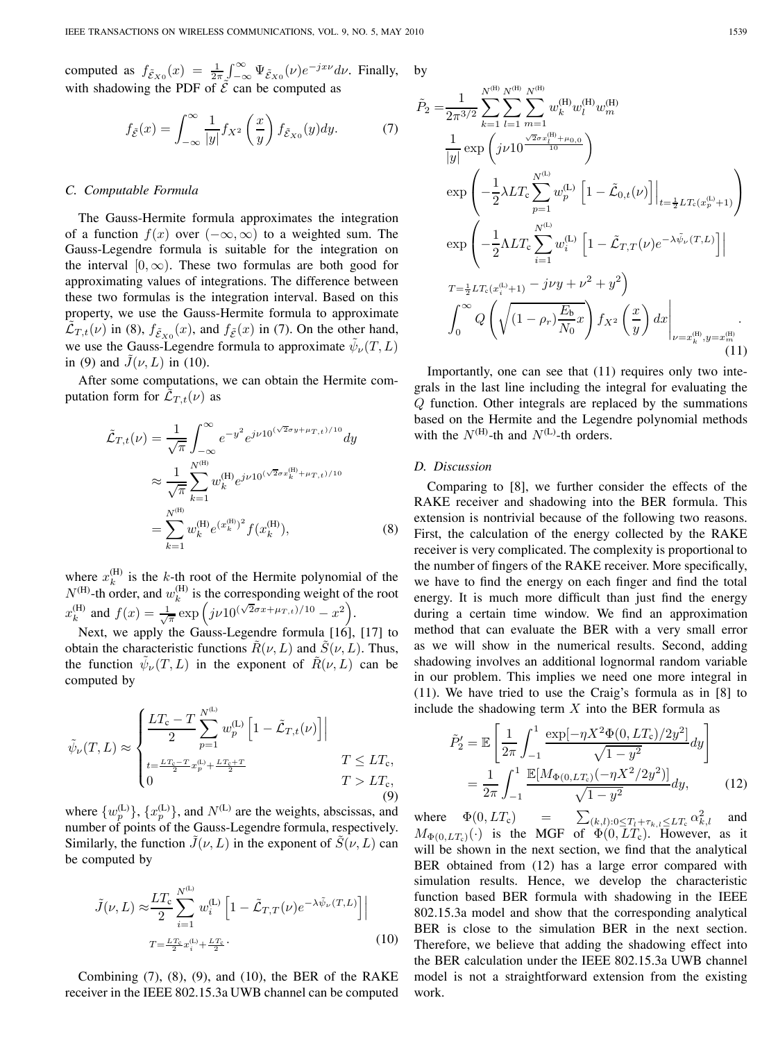computed as  $f_{\tilde{\mathcal{E}}_{X0}}(x) = \frac{1}{2\pi} \int_{-\infty}^{\infty} \Psi_{\tilde{\mathcal{E}}_{X0}}(\nu) e^{-j x \nu} d\nu$ . Finally, with shadowing the PDF of  $\tilde{\mathcal{E}}$  can be computed as by

$$
f_{\tilde{\mathcal{E}}}(x) = \int_{-\infty}^{\infty} \frac{1}{|y|} f_{X^2} \left(\frac{x}{y}\right) f_{\tilde{\mathcal{E}}_{X0}}(y) dy.
$$
 (7)

#### *C. Computable Formula*

The Gauss-Hermite formula approximates the integration of a function  $f(x)$  over  $(-\infty, \infty)$  to a weighted sum. The Gauss-Legendre formula is suitable for the integration on the interval  $[0, \infty)$ . These two formulas are both good for approximating values of integrations. The difference between these two formulas is the integration interval. Based on this property, we use the Gauss-Hermite formula to approximate  $\mathcal{L}_{T,t}(\nu)$  in (8),  $f_{\tilde{\mathcal{E}}_{X0}}(x)$ , and  $f_{\tilde{\mathcal{E}}}(x)$  in (7). On the other hand, we use the Gauss-Legendre formula to approximate  $\tilde{\psi}_{\nu}(T,L)$ in (9) and  $\tilde{J}(\nu, L)$  in (10).

After some computations, we can obtain the Hermite computation form for  $\mathcal{L}_{T,t}(\nu)$  as

$$
\tilde{\mathcal{L}}_{T,t}(\nu) = \frac{1}{\sqrt{\pi}} \int_{-\infty}^{\infty} e^{-y^2} e^{j\nu 10^{(\sqrt{2}\sigma y + \mu_{T,t})/10}} dy
$$
\n
$$
\approx \frac{1}{\sqrt{\pi}} \sum_{k=1}^{N^{(\text{H})}} w_k^{(\text{H})} e^{j\nu 10^{(\sqrt{2}\sigma x_k^{(\text{H})} + \mu_{T,t})/10}}
$$
\n
$$
= \sum_{k=1}^{N^{(\text{H})}} w_k^{(\text{H})} e^{(x_k^{(\text{H})})^2} f(x_k^{(\text{H})}), \tag{8}
$$

where  $x_k^{(H)}$  is the k-th root of the Hermite polynomial of the  $N^{(\text{H})}$ -th order, and  $w_k^{(\text{H})}$  is the corresponding weight of the root  $x_k^{(\text{H})}$  and  $f(x) = \frac{1}{\sqrt{\pi}} \exp \left( j \nu 10^{(\sqrt{2}\sigma x + \mu_{T,t})/10} - x^2 \right).$ 

Next, we apply the Gauss-Legendre formula [16], [17] to obtain the characteristic functions  $R(\nu, L)$  and  $S(\nu, L)$ . Thus, the function  $\psi_{\nu}(T, L)$  in the exponent of  $R(\nu, L)$  can be computed by

$$
\tilde{\psi}_{\nu}(T, L) \approx \begin{cases}\n\frac{LT_{\rm c} - T}{2} \sum_{p=1}^{N^{\rm (L)}} w_{p}^{\rm (L)} \left[ 1 - \tilde{\mathcal{L}}_{T, t}(\nu) \right] \\
\frac{t = \frac{LT_{\rm c} - T}{2} x_{p}^{\rm (L)} + \frac{LT_{\rm c} + T}{2}}{1} & T \le LT_{\rm c}, \\
0 & T > LT_{\rm c},\n\end{cases}
$$
\n(9)

where  $\{w_p^{(L)}\}, \{x_p^{(L)}\}$ , and  $N^{(L)}$  are the weights, abscissas, and number of points of the Gauss-Legendre formula, respectively. Similarly, the function  $\tilde{J}(\nu, L)$  in the exponent of  $\tilde{S}(\nu, L)$  can be computed by

$$
\tilde{J}(\nu, L) \approx \frac{LT_{\rm c}}{2} \sum_{i=1}^{N^{(\rm L)}} w_i^{(\rm L)} \left[ 1 - \tilde{L}_{T,T}(\nu) e^{-\lambda \tilde{\psi}_{\nu}(T,L)} \right] \Big|
$$
  
\n
$$
T = \frac{LT_{\rm c}}{2} x_i^{(\rm L)} + \frac{LT_{\rm c}}{2}.
$$
\n(10)

Combining  $(7)$ ,  $(8)$ ,  $(9)$ , and  $(10)$ , the BER of the RAKE receiver in the IEEE 802.15.3a UWB channel can be computed

$$
\tilde{P}_2 = \frac{1}{2\pi^{3/2}} \sum_{k=1}^{N^{(\text{H})}} \sum_{l=1}^{N^{(\text{H})}} \sum_{m=1}^{N^{(\text{H})}} w_k^{(\text{H})} w_m^{(\text{H})}
$$
\n
$$
\frac{1}{|y|} \exp\left(j\nu 10^{\frac{\sqrt{2}\sigma x_l^{(\text{H})} + \mu_{0,0}}{10}}\right)
$$
\n
$$
\exp\left(-\frac{1}{2}\lambda LT_c \sum_{p=1}^{N^{(\text{L})}} w_p^{(\text{L})} \left[1 - \tilde{\mathcal{L}}_{0,t}(\nu)\right]\Big|_{t=\frac{1}{2}LT_c(x_p^{(\text{L})}+1)}\right)
$$
\n
$$
\exp\left(-\frac{1}{2}\Lambda LT_c \sum_{i=1}^{N^{(\text{L})}} w_i^{(\text{L})} \left[1 - \tilde{\mathcal{L}}_{T,T}(\nu)e^{-\lambda \tilde{\psi}_{\nu}(T,L)}\right]\right|
$$
\n
$$
T = \frac{1}{2}LT_c(x_i^{(\text{L})}+1) - j\nu y + \nu^2 + y^2
$$
\n
$$
\int_0^\infty Q\left(\sqrt{(1-\rho_r)\frac{E_b}{N_0}x}\right) f_{X^2}\left(\frac{x}{y}\right) dx\Big|_{\nu=x_k^{(\text{H})}, y=x_m^{(\text{H})}}.
$$
\n(11)

Importantly, one can see that (11) requires only two integrals in the last line including the integral for evaluating the  $Q$  function. Other integrals are replaced by the summations based on the Hermite and the Legendre polynomial methods with the  $N^{(\mathrm{H})}$ -th and  $N^{(\mathrm{L})}$ -th orders.

# *D. Discussion*

Comparing to [8], we further consider the effects of the RAKE receiver and shadowing into the BER formula. This extension is nontrivial because of the following two reasons. First, the calculation of the energy collected by the RAKE receiver is very complicated. The complexity is proportional to the number of fingers of the RAKE receiver. More specifically, we have to find the energy on each finger and find the total energy. It is much more difficult than just find the energy during a certain time window. We find an approximation method that can evaluate the BER with a very small error as we will show in the numerical results. Second, adding shadowing involves an additional lognormal random variable in our problem. This implies we need one more integral in (11). We have tried to use the Craig's formula as in [8] to include the shadowing term  $X$  into the BER formula as

$$
\tilde{P}'_2 = \mathbb{E}\left[\frac{1}{2\pi} \int_{-1}^1 \frac{\exp[-\eta X^2 \Phi(0, LT_c)/2y^2]}{\sqrt{1-y^2}} dy\right]
$$

$$
= \frac{1}{2\pi} \int_{-1}^1 \frac{\mathbb{E}[M_{\Phi(0, LT_c)}(-\eta X^2/2y^2)]}{\sqrt{1-y^2}} dy,
$$
(12)

where  $\Phi(0, LT_c)$  =  $\sum_{(k,l):0 \le T_l + \tau_{k,l} \le LT_c} \alpha_{k,l}^2$  and  $M_{\Phi(0,LT_c)}(\cdot)$  is the MGF of  $\Phi(0,LT_c)$ . However, as it will be shown in the next section, we find that the analytical BER obtained from (12) has a large error compared with simulation results. Hence, we develop the characteristic function based BER formula with shadowing in the IEEE 802.15.3a model and show that the corresponding analytical BER is close to the simulation BER in the next section. Therefore, we believe that adding the shadowing effect into the BER calculation under the IEEE 802.15.3a UWB channel model is not a straightforward extension from the existing work.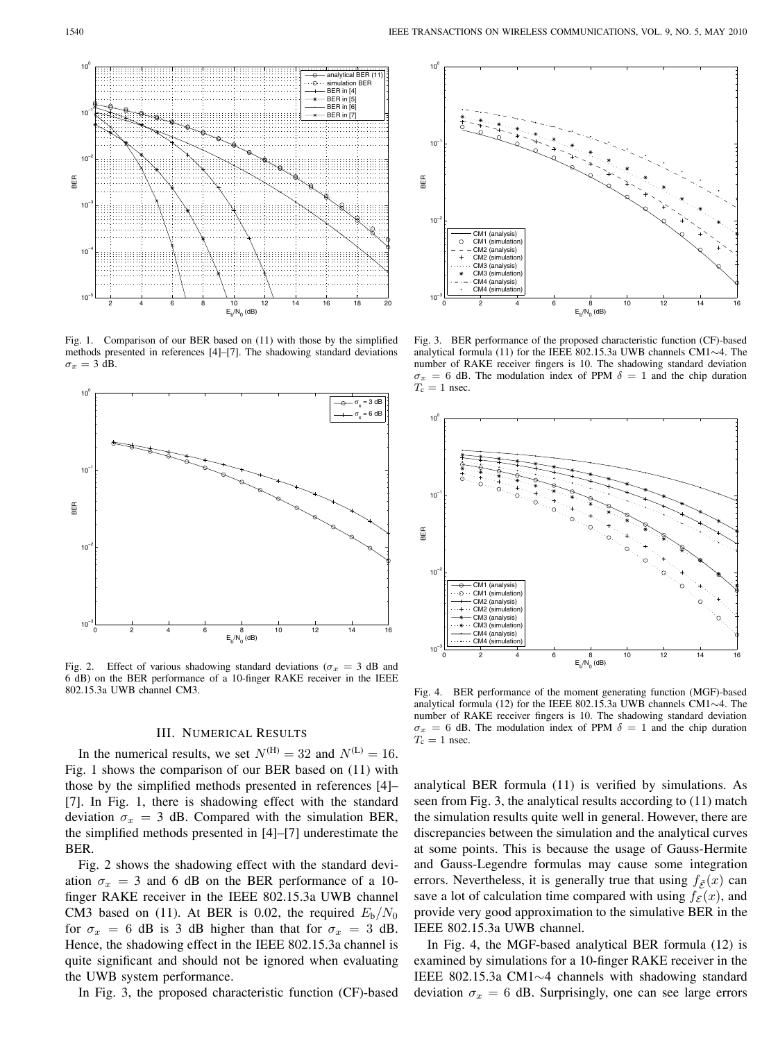

Fig. 1. Comparison of our BER based on (11) with those by the simplified methods presented in references [4]–[7]. The shadowing standard deviations  $\sigma_x = 3$  dB.



Fig. 2. Effect of various shadowing standard deviations ( $\sigma_x = 3$  dB and 6 dB) on the BER performance of a 10-finger RAKE receiver in the IEEE 802.15.3a UWB channel CM3.

#### III. NUMERICAL RESULTS

In the numerical results, we set  $N^{(\text{H})} = 32$  and  $N^{(\text{L})} = 16$ . Fig. 1 shows the comparison of our BER based on (11) with those by the simplified methods presented in references [4]– [7]. In Fig. 1, there is shadowing effect with the standard deviation  $\sigma_x = 3$  dB. Compared with the simulation BER, the simplified methods presented in [4]–[7] underestimate the BER.

Fig. 2 shows the shadowing effect with the standard deviation  $\sigma_x = 3$  and 6 dB on the BER performance of a 10finger RAKE receiver in the IEEE 802.15.3a UWB channel CM3 based on (11). At BER is 0.02, the required  $E_b/N_0$ for  $\sigma_x = 6$  dB is 3 dB higher than that for  $\sigma_x = 3$  dB. Hence, the shadowing effect in the IEEE 802.15.3a channel is quite significant and should not be ignored when evaluating the UWB system performance.

In Fig. 3, the proposed characteristic function (CF)-based



Fig. 3. BER performance of the proposed characteristic function (CF)-based analytical formula (11) for the IEEE 802.15.3a UWB channels CM1∼4. The number of RAKE receiver fingers is 10. The shadowing standard deviation  $\sigma_x = 6$  dB. The modulation index of PPM  $\delta = 1$  and the chip duration  $T_c = 1$  nsec.



Fig. 4. BER performance of the moment generating function (MGF)-based analytical formula (12) for the IEEE 802.15.3a UWB channels CM1∼4. The number of RAKE receiver fingers is 10. The shadowing standard deviation  $\sigma_x = 6$  dB. The modulation index of PPM  $\delta = 1$  and the chip duration  $T_c = 1$  nsec.

analytical BER formula (11) is verified by simulations. As seen from Fig. 3, the analytical results according to (11) match the simulation results quite well in general. However, there are discrepancies between the simulation and the analytical curves at some points. This is because the usage of Gauss-Hermite and Gauss-Legendre formulas may cause some integration errors. Nevertheless, it is generally true that using  $f_{\tilde{\mathcal{E}}}(x)$  can save a lot of calculation time compared with using  $f_{\mathcal{E}}(x)$ , and provide very good approximation to the simulative BER in the IEEE 802.15.3a UWB channel.

In Fig. 4, the MGF-based analytical BER formula (12) is examined by simulations for a 10-finger RAKE receiver in the IEEE 802.15.3a CM1∼4 channels with shadowing standard deviation  $\sigma_x = 6$  dB. Surprisingly, one can see large errors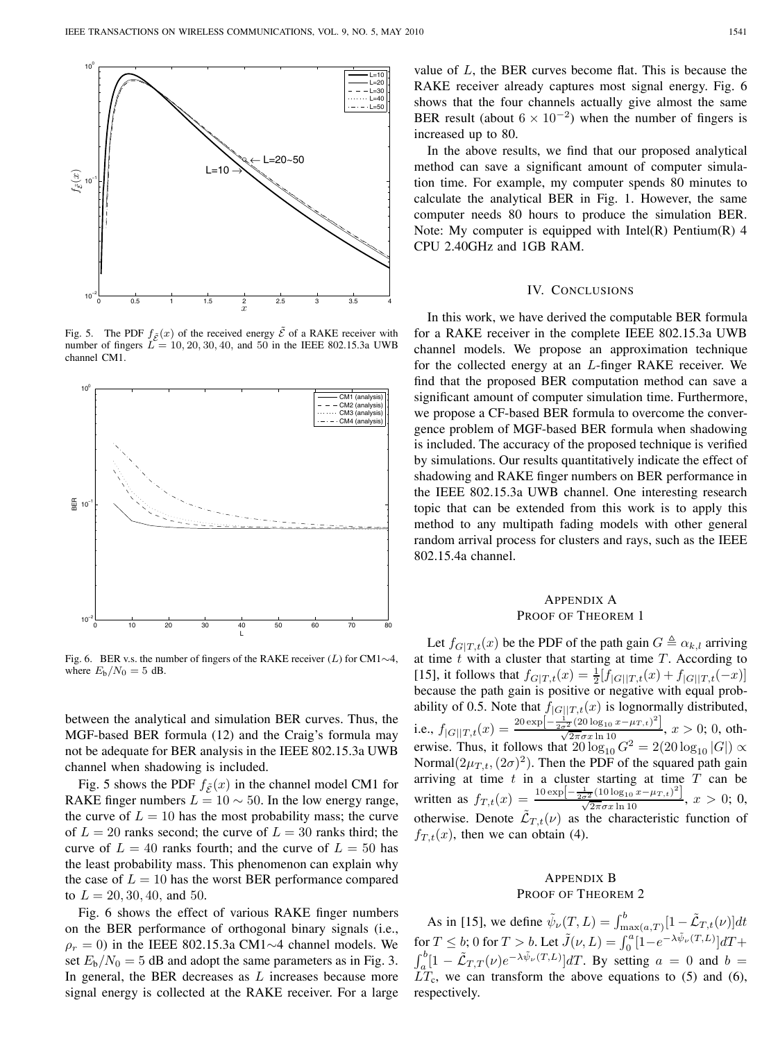

Fig. 5. The PDF  $f_{\tilde{\mathcal{E}}}(x)$  of the received energy  $\tilde{\mathcal{E}}$  of a RAKE receiver with number of fingers  $L = 10, 20, 30, 40,$  and 50 in the IEEE 802.15.3a UWB channel CM1.



Fig. 6. BER v.s. the number of fingers of the RAKE receiver  $(L)$  for CM1∼4, where  $E_b/N_0 = 5$  dB.

between the analytical and simulation BER curves. Thus, the MGF-based BER formula (12) and the Craig's formula may not be adequate for BER analysis in the IEEE 802.15.3a UWB channel when shadowing is included.

Fig. 5 shows the PDF  $f_{\tilde{\mathcal{E}}}(x)$  in the channel model CM1 for RAKE finger numbers  $L = 10 \sim 50$ . In the low energy range, the curve of  $L = 10$  has the most probability mass; the curve of  $L = 20$  ranks second; the curve of  $L = 30$  ranks third; the curve of  $L = 40$  ranks fourth; and the curve of  $L = 50$  has the least probability mass. This phenomenon can explain why the case of  $L = 10$  has the worst BER performance compared to  $L = 20, 30, 40,$  and 50.

Fig. 6 shows the effect of various RAKE finger numbers on the BER performance of orthogonal binary signals (i.e.,  $\rho_r = 0$ ) in the IEEE 802.15.3a CM1∼4 channel models. We set  $E_b/N_0 = 5$  dB and adopt the same parameters as in Fig. 3. In general, the BER decreases as  $L$  increases because more signal energy is collected at the RAKE receiver. For a large value of  $L$ , the BER curves become flat. This is because the RAKE receiver already captures most signal energy. Fig. 6 shows that the four channels actually give almost the same BER result (about  $6 \times 10^{-2}$ ) when the number of fingers is increased up to 80.

In the above results, we find that our proposed analytical method can save a significant amount of computer simulation time. For example, my computer spends 80 minutes to calculate the analytical BER in Fig. 1. However, the same computer needs 80 hours to produce the simulation BER. Note: My computer is equipped with  $Intel(R)$  Pentium $(R)$  4 CPU 2.40GHz and 1GB RAM.

#### IV. CONCLUSIONS

In this work, we have derived the computable BER formula for a RAKE receiver in the complete IEEE 802.15.3a UWB channel models. We propose an approximation technique for the collected energy at an  $L$ -finger RAKE receiver. We find that the proposed BER computation method can save a significant amount of computer simulation time. Furthermore, we propose a CF-based BER formula to overcome the convergence problem of MGF-based BER formula when shadowing is included. The accuracy of the proposed technique is verified by simulations. Our results quantitatively indicate the effect of shadowing and RAKE finger numbers on BER performance in the IEEE 802.15.3a UWB channel. One interesting research topic that can be extended from this work is to apply this method to any multipath fading models with other general random arrival process for clusters and rays, such as the IEEE 802.15.4a channel.

# APPENDIX A PROOF OF THEOREM 1

Let  $f_{G|T,t}(x)$  be the PDF of the path gain  $G \triangleq \alpha_{k,l}$  arriving at time  $t$  with a cluster that starting at time  $T$ . According to [15], it follows that  $f_{G|T,t}(x) = \frac{1}{2} [f_{|G||T,t}(x) + f_{|G||T,t}(-x)]$ because the path gain is positive or negative with equal probability of 0.5. Note that  $f_{|G||T,t}(x)$  is lognormally distributed, i.e.,  $f_{|G||T,t}(x) = \frac{20 \exp \left[-\frac{1}{2\sigma^2}(20 \log_{10} x - \mu_{T,t})^2\right]}{\sqrt{2\pi}\sigma x \ln 10}$ ,  $x > 0$ ; 0, otherwise. Thus, it follows that  $20 \log_{10} G^2 = 2(20 \log_{10} |G|) \propto$ Normal $(2\mu_{T,t},(2\sigma)^2)$ . Then the PDF of the squared path gain arriving at time  $t$  in a cluster starting at time  $T$  can be written as  $f_{T,t}(x) = \frac{10 \exp[-\frac{1}{2\sigma^2}(10 \log_{10} x - \mu_{T,t})^2]}{\sqrt{2\pi}\sigma x \ln 10}, x > 0; 0,$ otherwise. Denote  $\tilde{\mathcal{L}}_{T,t}(\nu)$  as the characteristic function of  $f_{T,t}(x)$ , then we can obtain (4).

# APPENDIX B PROOF OF THEOREM 2

As in [15], we define  $\tilde{\psi}_{\nu}(T, L) = \int_{\max(a,T)}^{b} [1 - \tilde{\mathcal{L}}_{T,t}(\nu)] dt$ for  $T \leq b$ ; 0 for  $T > b$ . Let  $\tilde{J}(\nu, L) = \int_0^a [1 - e^{-\lambda \tilde{\psi}_{\nu}(T, L)}] dT +$  $\int_a^b [1 - \tilde{\mathcal{L}}_{T,T}(\nu) e^{-\lambda \tilde{\psi}_{\nu}(T,L)}] dT$ . By setting  $a = 0$  and  $b =$  $LT_c$ , we can transform the above equations to (5) and (6), respectively.